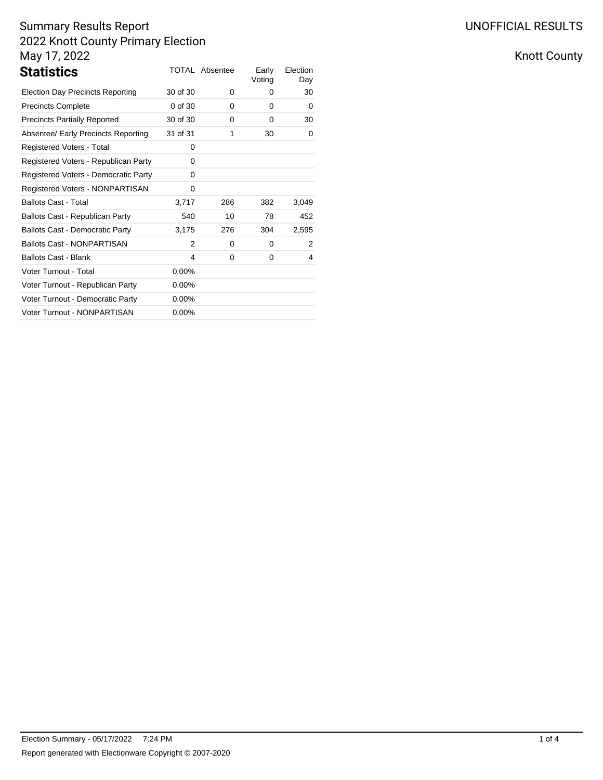| <b>Statistics</b>                       |          | <b>TOTAL Absentee</b> | Early<br>Voting | Election<br>Day |
|-----------------------------------------|----------|-----------------------|-----------------|-----------------|
| <b>Election Day Precincts Reporting</b> | 30 of 30 | 0                     | 0               | 30              |
| <b>Precincts Complete</b>               | 0 of 30  | 0                     | 0               | 0               |
| <b>Precincts Partially Reported</b>     | 30 of 30 | 0                     | 0               | 30              |
| Absentee/ Early Precincts Reporting     | 31 of 31 | 1                     | 30              | 0               |
| Registered Voters - Total               | 0        |                       |                 |                 |
| Registered Voters - Republican Party    | 0        |                       |                 |                 |
| Registered Voters - Democratic Party    | 0        |                       |                 |                 |
| Registered Voters - NONPARTISAN         | 0        |                       |                 |                 |
| <b>Ballots Cast - Total</b>             | 3,717    | 286                   | 382             | 3,049           |
| Ballots Cast - Republican Party         | 540      | 10                    | 78              | 452             |
| <b>Ballots Cast - Democratic Party</b>  | 3,175    | 276                   | 304             | 2,595           |
| <b>Ballots Cast - NONPARTISAN</b>       | 2        | 0                     | 0               | 2               |
| <b>Ballots Cast - Blank</b>             | 4        | 0                     | 0               | 4               |
| Voter Turnout - Total                   | $0.00\%$ |                       |                 |                 |
| Voter Turnout - Republican Party        | $0.00\%$ |                       |                 |                 |
| Voter Turnout - Democratic Party        | $0.00\%$ |                       |                 |                 |
| Voter Turnout - NONPARTISAN             | $0.00\%$ |                       |                 |                 |

Knott County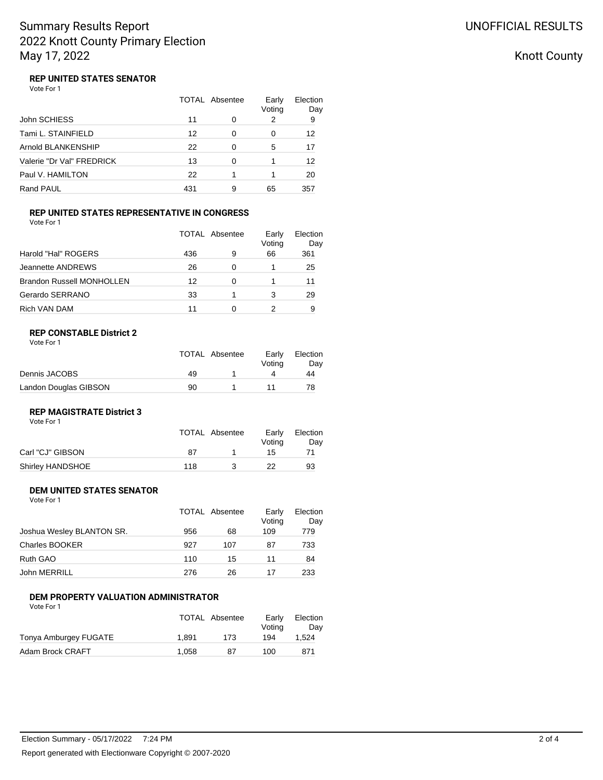## Knott County

#### **REP UNITED STATES SENATOR** Vote For 1

|                           | TOTAL Absentee |   | Early<br>Voting | Election<br>Day |
|---------------------------|----------------|---|-----------------|-----------------|
| John SCHIESS              | 11             | 0 | 2               | 9               |
| Tami L. STAINFIELD        | 12             | 0 | 0               | 12              |
| Arnold BLANKENSHIP        | 22             | 0 | 5               | 17              |
| Valerie "Dr Val" FREDRICK | 13             | 0 |                 | 12              |
| Paul V. HAMILTON          | 22             |   |                 | 20              |
| Rand PAUL                 | 431            | 9 | 65              | 357             |

#### **REP UNITED STATES REPRESENTATIVE IN CONGRESS** Vote For 1

|                                  | TOTAL Absentee |   | Early<br>Voting | Election<br>Day |
|----------------------------------|----------------|---|-----------------|-----------------|
| Harold "Hal" ROGERS              | 436            | 9 | 66              | 361             |
| Jeannette ANDREWS                | 26             | 0 |                 | 25              |
| <b>Brandon Russell MONHOLLEN</b> | 12             | ∩ |                 | 11              |
| Gerardo SERRANO                  | 33             |   | 3               | 29              |
| Rich VAN DAM                     | 11             |   |                 | 9               |

### **REP CONSTABLE District 2**

| Vote For |  |
|----------|--|
|----------|--|

|                       |    | TOTAL Absentee | Early<br>Votina | Election<br>Dav |
|-----------------------|----|----------------|-----------------|-----------------|
| Dennis JACOBS         | 49 |                |                 | 44              |
| Landon Douglas GIBSON | 90 |                |                 | 78              |

#### **REP MAGISTRATE District 3** Vote For 1

|                  |     | TOTAL Absentee | Early<br>Votina | Election<br>Day |
|------------------|-----|----------------|-----------------|-----------------|
| Carl "CJ" GIBSON | 87  |                | 15              |                 |
| Shirley HANDSHOE | 118 |                | 22              | 93              |

#### **DEM UNITED STATES SENATOR** Vote For 1

|                           |     | TOTAL Absentee | Early<br>Voting | Election<br>Day |
|---------------------------|-----|----------------|-----------------|-----------------|
| Joshua Wesley BLANTON SR. | 956 | 68             | 109             | 779             |
| <b>Charles BOOKER</b>     | 927 | 107            | 87              | 733             |
| Ruth GAO                  | 110 | 15             | 11              | 84              |
| John MERRILL              | 276 | 26             | 17              | 233             |

### **DEM PROPERTY VALUATION ADMINISTRATOR**

Vote For 1

|                       |       | TOTAL Absentee | Early<br>Votina | Election<br>Dav |
|-----------------------|-------|----------------|-----------------|-----------------|
| Tonya Amburgey FUGATE | 1.891 | 173            | 194             | 1.524           |
| Adam Brock CRAFT      | 1.058 | 87             | 100             | 871             |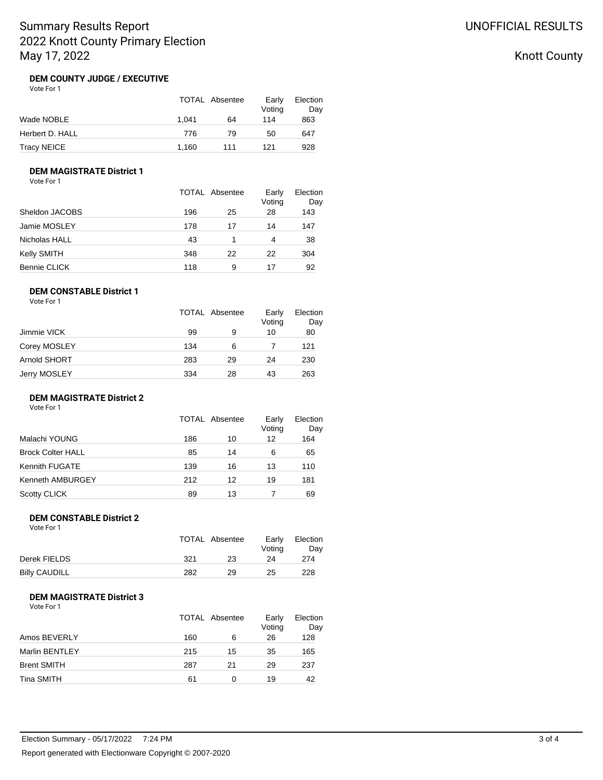## Knott County

#### **DEM COUNTY JUDGE / EXECUTIVE** Vote For 1

|                 |       | TOTAL Absentee | Early<br>Voting | Election<br>Day |
|-----------------|-------|----------------|-----------------|-----------------|
| Wade NOBLE      | 1.041 | 64             | 114             | 863             |
| Herbert D. HALL | 776   | 79             | 50              | 647             |
| Tracy NEICE     | 1.160 | 111            | 121             | 928             |

### **DEM MAGISTRATE District 1**

Vote For 1

|                |     | <b>TOTAL Absentee</b> | Early<br>Voting | Election<br>Day |
|----------------|-----|-----------------------|-----------------|-----------------|
| Sheldon JACOBS | 196 | 25                    | 28              | 143             |
| Jamie MOSLEY   | 178 | 17                    | 14              | 147             |
| Nicholas HALL  | 43  |                       | 4               | 38              |
| Kelly SMITH    | 348 | 22                    | 22              | 304             |
| Bennie CLICK   | 118 | 9                     | 17              | 92              |

### **DEM CONSTABLE District 1**

Vote For 1

|     |    | Early<br>Voting | Election<br>Day |
|-----|----|-----------------|-----------------|
| 99  | 9  | 10              | 80              |
| 134 | 6  |                 | 121             |
| 283 | 29 | 24              | 230             |
| 334 | 28 | 43              | 263             |
|     |    | TOTAL Absentee  |                 |

#### **DEM MAGISTRATE District 2**

Vote For 1

|                          |     | <b>TOTAL Absentee</b> | Early<br>Voting | Election<br>Day |
|--------------------------|-----|-----------------------|-----------------|-----------------|
| Malachi YOUNG            | 186 | 10                    | 12              | 164             |
| <b>Brock Colter HALL</b> | 85  | 14                    | 6               | 65              |
| Kennith FUGATE           | 139 | 16                    | 13              | 110             |
| Kenneth AMBURGEY         | 212 | 12                    | 19              | 181             |
| <b>Scotty CLICK</b>      | 89  | 13                    |                 | 69              |

#### **DEM CONSTABLE District 2** Vote For 1

| <u>vuurivii</u>      | TOTAL Absentee |    | Early<br>Votina | Election<br>Day |
|----------------------|----------------|----|-----------------|-----------------|
| Derek FIELDS         | 321            | 23 | 24              | 274             |
| <b>Billy CAUDILL</b> | 282            | 29 | 25              | 228             |

### **DEM MAGISTRATE District 3**

Vote For 1

|                    |     | TOTAL Absentee | Early<br>Voting | Election<br>Day |
|--------------------|-----|----------------|-----------------|-----------------|
| Amos BEVERLY       | 160 | 6              | 26              | 128             |
| Marlin BENTLEY     | 215 | 15             | 35              | 165             |
| <b>Brent SMITH</b> | 287 | 21             | 29              | 237             |
| Tina SMITH         | 61  |                | 19              | 42              |